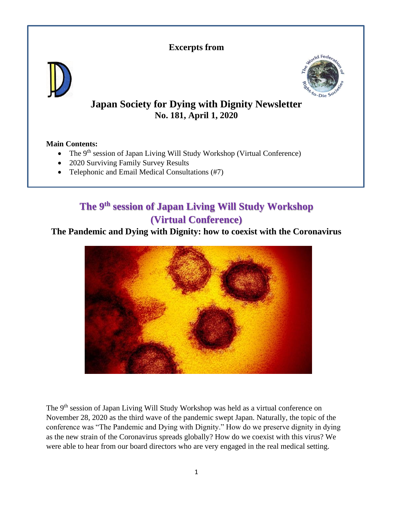### **Excerpts from**





# **Japan Society for Dying with Dignity Newsletter No. 181, April 1, 2020**

### **Main Contents:**

- The 9<sup>th</sup> session of Japan Living Will Study Workshop (Virtual Conference)
- 2020 Surviving Family Survey Results
- Telephonic and Email Medical Consultations (#7)

# **The 9th session of Japan Living Will Study Workshop (Virtual Conference)**

### **The Pandemic and Dying with Dignity: how to coexist with the Coronavirus**



The 9<sup>th</sup> session of Japan Living Will Study Workshop was held as a virtual conference on November 28, 2020 as the third wave of the pandemic swept Japan. Naturally, the topic of the conference was "The Pandemic and Dying with Dignity." How do we preserve dignity in dying as the new strain of the Coronavirus spreads globally? How do we coexist with this virus? We were able to hear from our board directors who are very engaged in the real medical setting.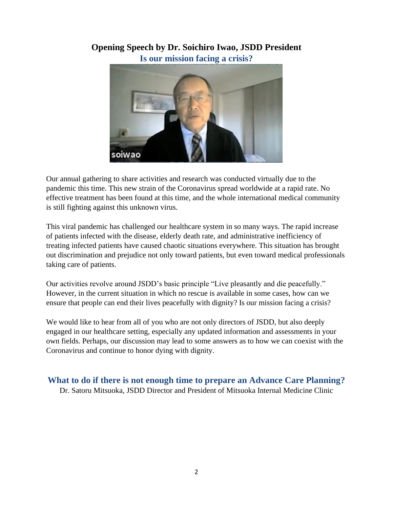### **Opening Speech by Dr. Soichiro Iwao, JSDD President Is our mission facing a crisis?**



Our annual gathering to share activities and research was conducted virtually due to the pandemic this time. This new strain of the Coronavirus spread worldwide at a rapid rate. No effective treatment has been found at this time, and the whole international medical community is still fighting against this unknown virus.

This viral pandemic has challenged our healthcare system in so many ways. The rapid increase of patients infected with the disease, elderly death rate, and administrative inefficiency of treating infected patients have caused chaotic situations everywhere. This situation has brought out discrimination and prejudice not only toward patients, but even toward medical professionals taking care of patients.

Our activities revolve around JSDD's basic principle "Live pleasantly and die peacefully." However, in the current situation in which no rescue is available in some cases, how can we ensure that people can end their lives peacefully with dignity? Is our mission facing a crisis?

We would like to hear from all of you who are not only directors of JSDD, but also deeply engaged in our healthcare setting, especially any updated information and assessments in your own fields. Perhaps, our discussion may lead to some answers as to how we can coexist with the Coronavirus and continue to honor dying with dignity.

**What to do if there is not enough time to prepare an Advance Care Planning?**

Dr. Satoru Mitsuoka, JSDD Director and President of Mitsuoka Internal Medicine Clinic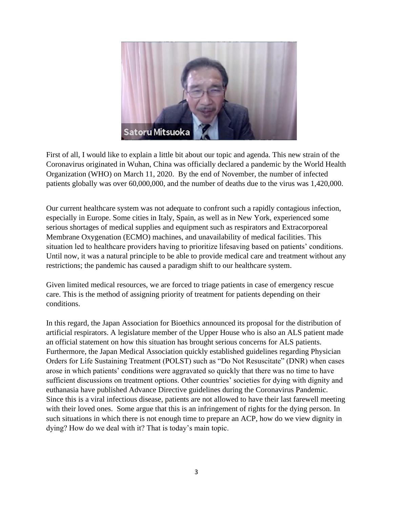

First of all, I would like to explain a little bit about our topic and agenda. This new strain of the Coronavirus originated in Wuhan, China was officially declared a pandemic by the World Health Organization (WHO) on March 11, 2020. By the end of November, the number of infected patients globally was over 60,000,000, and the number of deaths due to the virus was 1,420,000.

Our current healthcare system was not adequate to confront such a rapidly contagious infection, especially in Europe. Some cities in Italy, Spain, as well as in New York, experienced some serious shortages of medical supplies and equipment such as respirators and Extracorporeal Membrane Oxygenation (ECMO) machines, and unavailability of medical facilities. This situation led to healthcare providers having to prioritize lifesaving based on patients' conditions. Until now, it was a natural principle to be able to provide medical care and treatment without any restrictions; the pandemic has caused a paradigm shift to our healthcare system.

Given limited medical resources, we are forced to triage patients in case of emergency rescue care. This is the method of assigning priority of treatment for patients depending on their conditions.

In this regard, the Japan Association for Bioethics announced its proposal for the distribution of artificial respirators. A legislature member of the Upper House who is also an ALS patient made an official statement on how this situation has brought serious concerns for ALS patients. Furthermore, the Japan Medical Association quickly established guidelines regarding Physician Orders for Life Sustaining Treatment (POLST) such as "Do Not Resuscitate" (DNR) when cases arose in which patients' conditions were aggravated so quickly that there was no time to have sufficient discussions on treatment options. Other countries' societies for dying with dignity and euthanasia have published Advance Directive guidelines during the Coronavirus Pandemic. Since this is a viral infectious disease, patients are not allowed to have their last farewell meeting with their loved ones. Some argue that this is an infringement of rights for the dying person. In such situations in which there is not enough time to prepare an ACP, how do we view dignity in dying? How do we deal with it? That is today's main topic.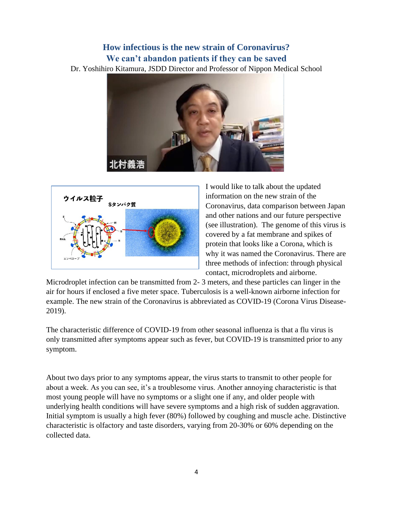## **How infectious is the new strain of Coronavirus? We can't abandon patients if they can be saved**

Dr. Yoshihiro Kitamura, JSDD Director and Professor of Nippon Medical School





I would like to talk about the updated information on the new strain of the Coronavirus, data comparison between Japan and other nations and our future perspective (see illustration). The genome of this virus is covered by a fat membrane and spikes of protein that looks like a Corona, which is why it was named the Coronavirus. There are three methods of infection: through physical contact, microdroplets and airborne.

Microdroplet infection can be transmitted from 2- 3 meters, and these particles can linger in the air for hours if enclosed a five meter space. Tuberculosis is a well-known airborne infection for example. The new strain of the Coronavirus is abbreviated as COVID-19 (Corona Virus Disease-2019).

The characteristic difference of COVID-19 from other seasonal influenza is that a flu virus is only transmitted after symptoms appear such as fever, but COVID-19 is transmitted prior to any symptom.

About two days prior to any symptoms appear, the virus starts to transmit to other people for about a week. As you can see, it's a troublesome virus. Another annoying characteristic is that most young people will have no symptoms or a slight one if any, and older people with underlying health conditions will have severe symptoms and a high risk of sudden aggravation. Initial symptom is usually a high fever (80%) followed by coughing and muscle ache. Distinctive characteristic is olfactory and taste disorders, varying from 20-30% or 60% depending on the collected data.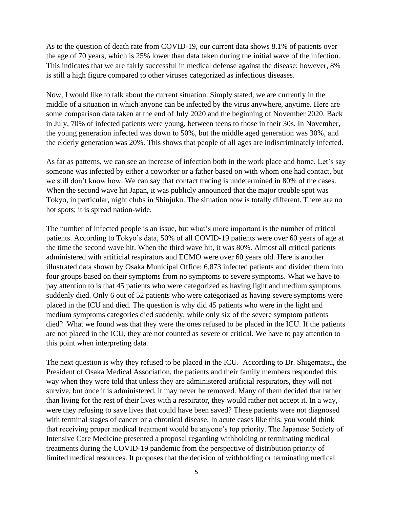As to the question of death rate from COVID-19, our current data shows 8.1% of patients over the age of 70 years, which is 25% lower than data taken during the initial wave of the infection. This indicates that we are fairly successful in medical defense against the disease; however, 8% is still a high figure compared to other viruses categorized as infectious diseases.

Now, I would like to talk about the current situation. Simply stated, we are currently in the middle of a situation in which anyone can be infected by the virus anywhere, anytime. Here are some comparison data taken at the end of July 2020 and the beginning of November 2020. Back in July, 70% of infected patients were young, between teens to those in their 30s. In November, the young generation infected was down to 50%, but the middle aged generation was 30%, and the elderly generation was 20%. This shows that people of all ages are indiscriminately infected.

As far as patterns, we can see an increase of infection both in the work place and home. Let's say someone was infected by either a coworker or a father based on with whom one had contact, but we still don't know how. We can say that contact tracing is undetermined in 80% of the cases. When the second wave hit Japan, it was publicly announced that the major trouble spot was Tokyo, in particular, night clubs in Shinjuku. The situation now is totally different. There are no hot spots; it is spread nation-wide.

The number of infected people is an issue, but what's more important is the number of critical patients. According to Tokyo's data, 50% of all COVID-19 patients were over 60 years of age at the time the second wave hit. When the third wave hit, it was 80%. Almost all critical patients administered with artificial respirators and ECMO were over 60 years old. Here is another illustrated data shown by Osaka Municipal Office: 6,873 infected patients and divided them into four groups based on their symptoms from no symptoms to severe symptoms. What we have to pay attention to is that 45 patients who were categorized as having light and medium symptoms suddenly died. Only 6 out of 52 patients who were categorized as having severe symptoms were placed in the ICU and died. The question is why did 45 patients who were in the light and medium symptoms categories died suddenly, while only six of the severe symptom patients died? What we found was that they were the ones refused to be placed in the ICU. If the patients are not placed in the ICU, they are not counted as severe or critical. We have to pay attention to this point when interpreting data.

The next question is why they refused to be placed in the ICU. According to Dr. Shigematsu, the President of Osaka Medical Association, the patients and their family members responded this way when they were told that unless they are administered artificial respirators, they will not survive, but once it is administered, it may never be removed. Many of them decided that rather than living for the rest of their lives with a respirator, they would rather not accept it. In a way, were they refusing to save lives that could have been saved? These patients were not diagnosed with terminal stages of cancer or a chronical disease. In acute cases like this, you would think that receiving proper medical treatment would be anyone's top priority. The Japanese Society of Intensive Care Medicine presented a proposal regarding withholding or terminating medical treatments during the COVID-19 pandemic from the perspective of distribution priority of limited medical resources. It proposes that the decision of withholding or terminating medical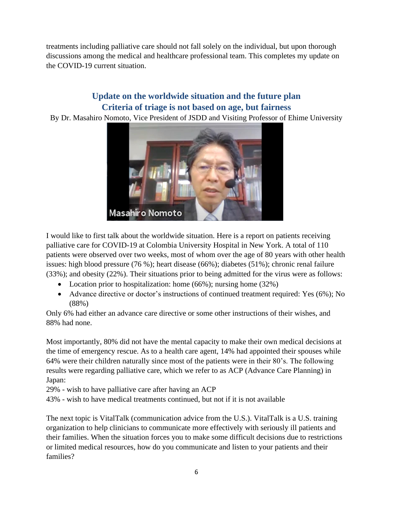treatments including palliative care should not fall solely on the individual, but upon thorough discussions among the medical and healthcare professional team. This completes my update on the COVID-19 current situation.

### **Update on the worldwide situation and the future plan Criteria of triage is not based on age, but fairness**

By Dr. Masahiro Nomoto, Vice President of JSDD and Visiting Professor of Ehime University



I would like to first talk about the worldwide situation. Here is a report on patients receiving palliative care for COVID-19 at Colombia University Hospital in New York. A total of 110 patients were observed over two weeks, most of whom over the age of 80 years with other health issues: high blood pressure (76 %); heart disease (66%); diabetes (51%); chronic renal failure (33%); and obesity (22%). Their situations prior to being admitted for the virus were as follows:

- Location prior to hospitalization: home (66%); nursing home (32%)
- Advance directive or doctor's instructions of continued treatment required: Yes (6%); No (88%)

Only 6% had either an advance care directive or some other instructions of their wishes, and 88% had none.

Most importantly, 80% did not have the mental capacity to make their own medical decisions at the time of emergency rescue. As to a health care agent, 14% had appointed their spouses while 64% were their children naturally since most of the patients were in their 80's. The following results were regarding palliative care, which we refer to as ACP (Advance Care Planning) in Japan:

29% - wish to have palliative care after having an ACP

43% - wish to have medical treatments continued, but not if it is not available

The next topic is VitalTalk (communication advice from the U.S.). VitalTalk is a U.S. training organization to help clinicians to communicate more effectively with seriously ill patients and their families. When the situation forces you to make some difficult decisions due to restrictions or limited medical resources, how do you communicate and listen to your patients and their families?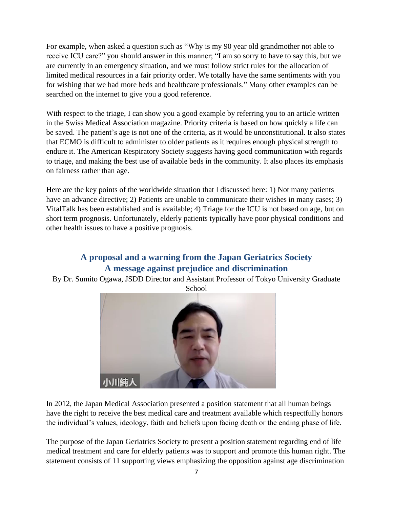For example, when asked a question such as "Why is my 90 year old grandmother not able to receive ICU care?" you should answer in this manner; "I am so sorry to have to say this, but we are currently in an emergency situation, and we must follow strict rules for the allocation of limited medical resources in a fair priority order. We totally have the same sentiments with you for wishing that we had more beds and healthcare professionals." Many other examples can be searched on the internet to give you a good reference.

With respect to the triage, I can show you a good example by referring you to an article written in the Swiss Medical Association magazine. Priority criteria is based on how quickly a life can be saved. The patient's age is not one of the criteria, as it would be unconstitutional. It also states that ECMO is difficult to administer to older patients as it requires enough physical strength to endure it. The American Respiratory Society suggests having good communication with regards to triage, and making the best use of available beds in the community. It also places its emphasis on fairness rather than age.

Here are the key points of the worldwide situation that I discussed here: 1) Not many patients have an advance directive; 2) Patients are unable to communicate their wishes in many cases; 3) VitalTalk has been established and is available; 4) Triage for the ICU is not based on age, but on short term prognosis. Unfortunately, elderly patients typically have poor physical conditions and other health issues to have a positive prognosis.

## **A proposal and a warning from the Japan Geriatrics Society A message against prejudice and discrimination**

By Dr. Sumito Ogawa, JSDD Director and Assistant Professor of Tokyo University Graduate



In 2012, the Japan Medical Association presented a position statement that all human beings have the right to receive the best medical care and treatment available which respectfully honors the individual's values, ideology, faith and beliefs upon facing death or the ending phase of life.

The purpose of the Japan Geriatrics Society to present a position statement regarding end of life medical treatment and care for elderly patients was to support and promote this human right. The statement consists of 11 supporting views emphasizing the opposition against age discrimination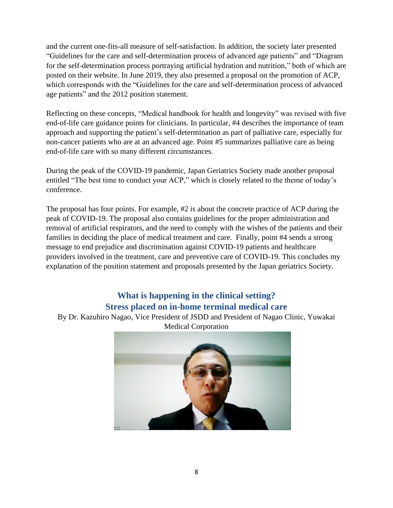and the current one-fits-all measure of self-satisfaction. In addition, the society later presented "Guidelines for the care and self-determination process of advanced age patients" and "Diagram for the self-determination process portraying artificial hydration and nutrition," both of which are posted on their website. In June 2019, they also presented a proposal on the promotion of ACP, which corresponds with the "Guidelines for the care and self-determination process of advanced age patients" and the 2012 position statement.

Reflecting on these concepts, "Medical handbook for health and longevity" was revised with five end-of-life care guidance points for clinicians. In particular, #4 describes the importance of team approach and supporting the patient's self-determination as part of palliative care, especially for non-cancer patients who are at an advanced age. Point #5 summarizes palliative care as being end-of-life care with so many different circumstances.

During the peak of the COVID-19 pandemic, Japan Geriatrics Society made another proposal entitled "The best time to conduct your ACP," which is closely related to the theme of today's conference.

The proposal has four points. For example, #2 is about the concrete practice of ACP during the peak of COVID-19. The proposal also contains guidelines for the proper administration and removal of artificial respirators, and the need to comply with the wishes of the patients and their families in deciding the place of medical treatment and care. Finally, point #4 sends a strong message to end prejudice and discrimination against COVID-19 patients and healthcare providers involved in the treatment, care and preventive care of COVID-19. This concludes my explanation of the position statement and proposals presented by the Japan geriatrics Society.

### **What is happening in the clinical setting? Stress placed on in-home terminal medical care**

By Dr. Kazuhiro Nagao, Vice President of JSDD and President of Nagao Clinic, Yuwakai Medical Corporation

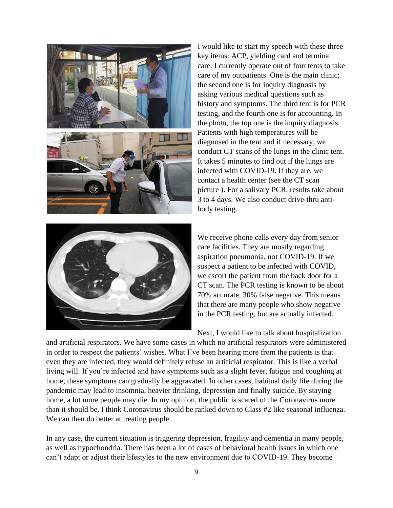

I would like to start my speech with these three key items: ACP, yielding card and terminal care. I currently operate out of four tents to take care of my outpatients. One is the main clinic; the second one is for inquiry diagnosis by asking various medical questions such as history and symptoms. The third tent is for PCR testing, and the fourth one is for accounting. In the photo, the top one is the inquiry diagnosis. Patients with high temperatures will be diagnosed in the tent and if necessary, we conduct CT scans of the lungs in the clinic tent. It takes 5 minutes to find out if the lungs are infected with COVID-19. If they are, we contact a health center (see the CT scan picture ). For a salivary PCR, results take about 3 to 4 days. We also conduct drive-thru antibody testing.



We receive phone calls every day from senior care facilities. They are mostly regarding aspiration pneumonia, not COVID-19. If we suspect a patient to be infected with COVID, we escort the patient from the back door for a CT scan. The PCR testing is known to be about 70% accurate, 30% false negative. This means that there are many people who show negative in the PCR testing, but are actually infected.

Next, I would like to talk about hospitalization

and artificial respirators. We have some cases in which no artificial respirators were administered in order to respect the patients' wishes. What I've been hearing more from the patients is that even they are infected, they would definitely refuse an artificial respirator. This is like a verbal living will. If you're infected and have symptoms such as a slight fever, fatigue and coughing at home, these symptoms can gradually be aggravated. In other cases, habitual daily life during the pandemic may lead to insomnia, heavier drinking, depression and finally suicide. By staying home, a lot more people may die. In my opinion, the public is scared of the Coronavirus more than it should be. I think Coronavirus should be ranked down to Class #2 like seasonal influenza. We can then do better at treating people.

In any case, the current situation is triggering depression, fragility and dementia in many people, as well as hypochondria. There has been a lot of cases of behavioral health issues in which one can't adapt or adjust their lifestyles to the new environment due to COVID-19. They become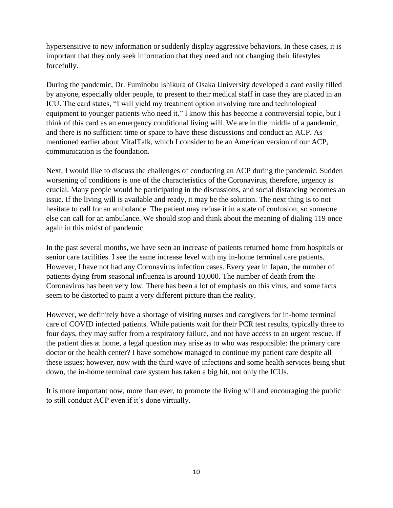hypersensitive to new information or suddenly display aggressive behaviors. In these cases, it is important that they only seek information that they need and not changing their lifestyles forcefully.

During the pandemic, Dr. Fuminobu Ishikura of Osaka University developed a card easily filled by anyone, especially older people, to present to their medical staff in case they are placed in an ICU. The card states, "I will yield my treatment option involving rare and technological equipment to younger patients who need it." I know this has become a controversial topic, but I think of this card as an emergency conditional living will. We are in the middle of a pandemic, and there is no sufficient time or space to have these discussions and conduct an ACP. As mentioned earlier about VitalTalk, which I consider to be an American version of our ACP, communication is the foundation.

Next, I would like to discuss the challenges of conducting an ACP during the pandemic. Sudden worsening of conditions is one of the characteristics of the Coronavirus, therefore, urgency is crucial. Many people would be participating in the discussions, and social distancing becomes an issue. If the living will is available and ready, it may be the solution. The next thing is to not hesitate to call for an ambulance. The patient may refuse it in a state of confusion, so someone else can call for an ambulance. We should stop and think about the meaning of dialing 119 once again in this midst of pandemic.

In the past several months, we have seen an increase of patients returned home from hospitals or senior care facilities. I see the same increase level with my in-home terminal care patients. However, I have not had any Coronavirus infection cases. Every year in Japan, the number of patients dying from seasonal influenza is around 10,000. The number of death from the Coronavirus has been very low. There has been a lot of emphasis on this virus, and some facts seem to be distorted to paint a very different picture than the reality.

However, we definitely have a shortage of visiting nurses and caregivers for in-home terminal care of COVID infected patients. While patients wait for their PCR test results, typically three to four days, they may suffer from a respiratory failure, and not have access to an urgent rescue. If the patient dies at home, a legal question may arise as to who was responsible: the primary care doctor or the health center? I have somehow managed to continue my patient care despite all these issues; however, now with the third wave of infections and some health services being shut down, the in-home terminal care system has taken a big hit, not only the ICUs.

It is more important now, more than ever, to promote the living will and encouraging the public to still conduct ACP even if it's done virtually.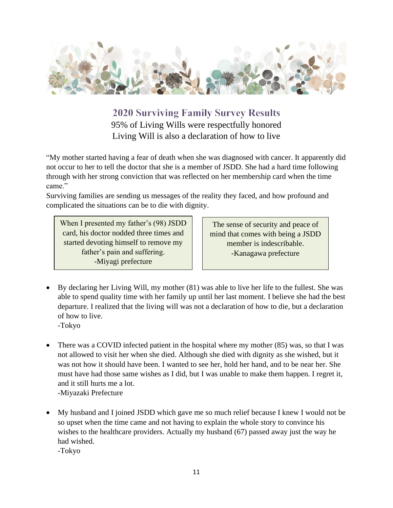

**2020 Surviving Family Survey Results** 95% of Living Wills were respectfully honored Living Will is also a declaration of how to live

"My mother started having a fear of death when she was diagnosed with cancer. It apparently did not occur to her to tell the doctor that she is a member of JSDD. She had a hard time following through with her strong conviction that was reflected on her membership card when the time came."

Surviving families are sending us messages of the reality they faced, and how profound and complicated the situations can be to die with dignity.

When I presented my father's (98) JSDD card, his doctor nodded three times and started devoting himself to remove my father's pain and suffering. -Miyagi prefecture

The sense of security and peace of mind that comes with being a JSDD member is indescribable. -Kanagawa prefecture

- By declaring her Living Will, my mother (81) was able to live her life to the fullest. She was able to spend quality time with her family up until her last moment. I believe she had the best departure. I realized that the living will was not a declaration of how to die, but a declaration of how to live.
	- -Tokyo
- There was a COVID infected patient in the hospital where my mother (85) was, so that I was not allowed to visit her when she died. Although she died with dignity as she wished, but it was not how it should have been. I wanted to see her, hold her hand, and to be near her. She must have had those same wishes as I did, but I was unable to make them happen. I regret it, and it still hurts me a lot. -Miyazaki Prefecture
- My husband and I joined JSDD which gave me so much relief because I knew I would not be so upset when the time came and not having to explain the whole story to convince his wishes to the healthcare providers. Actually my husband (67) passed away just the way he had wished. -Tokyo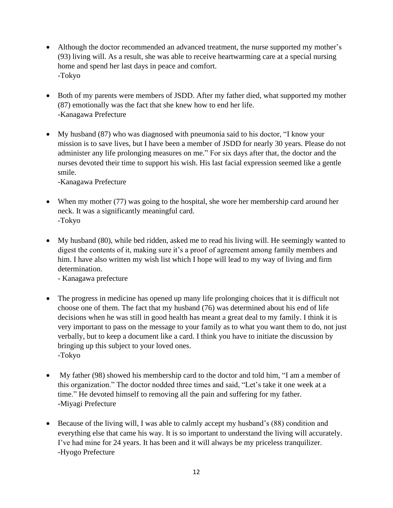- Although the doctor recommended an advanced treatment, the nurse supported my mother's (93) living will. As a result, she was able to receive heartwarming care at a special nursing home and spend her last days in peace and comfort. -Tokyo
- Both of my parents were members of JSDD. After my father died, what supported my mother (87) emotionally was the fact that she knew how to end her life. -Kanagawa Prefecture
- My husband (87) who was diagnosed with pneumonia said to his doctor, "I know your mission is to save lives, but I have been a member of JSDD for nearly 30 years. Please do not administer any life prolonging measures on me." For six days after that, the doctor and the nurses devoted their time to support his wish. His last facial expression seemed like a gentle smile.

-Kanagawa Prefecture

- When my mother (77) was going to the hospital, she wore her membership card around her neck. It was a significantly meaningful card. -Tokyo
- My husband (80), while bed ridden, asked me to read his living will. He seemingly wanted to digest the contents of it, making sure it's a proof of agreement among family members and him. I have also written my wish list which I hope will lead to my way of living and firm determination.

- Kanagawa prefecture

- The progress in medicine has opened up many life prolonging choices that it is difficult not choose one of them. The fact that my husband (76) was determined about his end of life decisions when he was still in good health has meant a great deal to my family. I think it is very important to pass on the message to your family as to what you want them to do, not just verbally, but to keep a document like a card. I think you have to initiate the discussion by bringing up this subject to your loved ones. -Tokyo
- My father (98) showed his membership card to the doctor and told him, "I am a member of this organization." The doctor nodded three times and said, "Let's take it one week at a time." He devoted himself to removing all the pain and suffering for my father. -Miyagi Prefecture
- Because of the living will, I was able to calmly accept my husband's (88) condition and everything else that came his way. It is so important to understand the living will accurately. I've had mine for 24 years. It has been and it will always be my priceless tranquilizer. -Hyogo Prefecture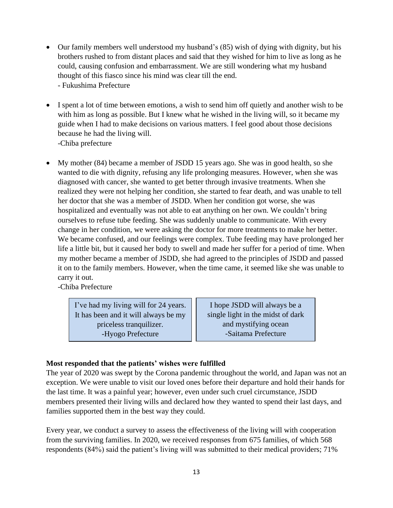- Our family members well understood my husband's (85) wish of dying with dignity, but his brothers rushed to from distant places and said that they wished for him to live as long as he could, causing confusion and embarrassment. We are still wondering what my husband thought of this fiasco since his mind was clear till the end. - Fukushima Prefecture
- I spent a lot of time between emotions, a wish to send him off quietly and another wish to be with him as long as possible. But I knew what he wished in the living will, so it became my guide when I had to make decisions on various matters. I feel good about those decisions because he had the living will. -Chiba prefecture
- My mother (84) became a member of JSDD 15 years ago. She was in good health, so she wanted to die with dignity, refusing any life prolonging measures. However, when she was diagnosed with cancer, she wanted to get better through invasive treatments. When she realized they were not helping her condition, she started to fear death, and was unable to tell her doctor that she was a member of JSDD. When her condition got worse, she was hospitalized and eventually was not able to eat anything on her own. We couldn't bring ourselves to refuse tube feeding. She was suddenly unable to communicate. With every change in her condition, we were asking the doctor for more treatments to make her better. We became confused, and our feelings were complex. Tube feeding may have prolonged her life a little bit, but it caused her body to swell and made her suffer for a period of time. When my mother became a member of JSDD, she had agreed to the principles of JSDD and passed it on to the family members. However, when the time came, it seemed like she was unable to carry it out.

-Chiba Prefecture

I've had my living will for 24 years. It has been and it will always be my priceless tranquilizer. -Hyogo Prefecture

I hope JSDD will always be a single light in the midst of dark and mystifying ocean -Saitama Prefecture

### **Most responded that the patients' wishes were fulfilled**

The year of 2020 was swept by the Corona pandemic throughout the world, and Japan was not an exception. We were unable to visit our loved ones before their departure and hold their hands for the last time. It was a painful year; however, even under such cruel circumstance, JSDD members presented their living wills and declared how they wanted to spend their last days, and families supported them in the best way they could.

Every year, we conduct a survey to assess the effectiveness of the living will with cooperation from the surviving families. In 2020, we received responses from 675 families, of which 568 respondents (84%) said the patient's living will was submitted to their medical providers; 71%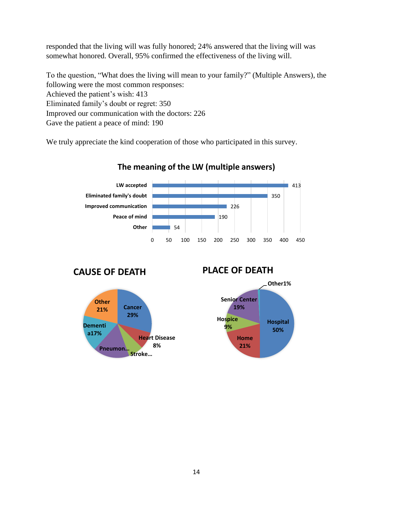responded that the living will was fully honored; 24% answered that the living will was somewhat honored. Overall, 95% confirmed the effectiveness of the living will.

To the question, "What does the living will mean to your family?" (Multiple Answers), the following were the most common responses: Achieved the patient's wish: 413 Eliminated family's doubt or regret: 350 Improved our communication with the doctors: 226 Gave the patient a peace of mind: 190

We truly appreciate the kind cooperation of those who participated in this survey.



### **The meaning of the LW (multiple answers)**





### **PLACE OF DEATH**

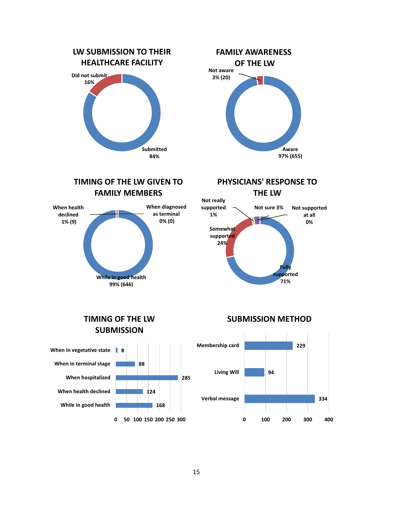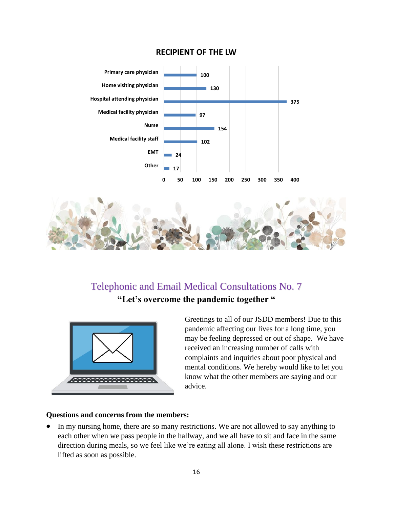### **RECIPIENT OF THE LW**



# Telephonic and Email Medical Consultations No. 7 **"Let's overcome the pandemic together "**



Greetings to all of our JSDD members! Due to this pandemic affecting our lives for a long time, you may be feeling depressed or out of shape. We have received an increasing number of calls with complaints and inquiries about poor physical and mental conditions. We hereby would like to let you know what the other members are saying and our advice.

#### **Questions and concerns from the members:**

• In my nursing home, there are so many restrictions. We are not allowed to say anything to each other when we pass people in the hallway, and we all have to sit and face in the same direction during meals, so we feel like we're eating all alone. I wish these restrictions are lifted as soon as possible.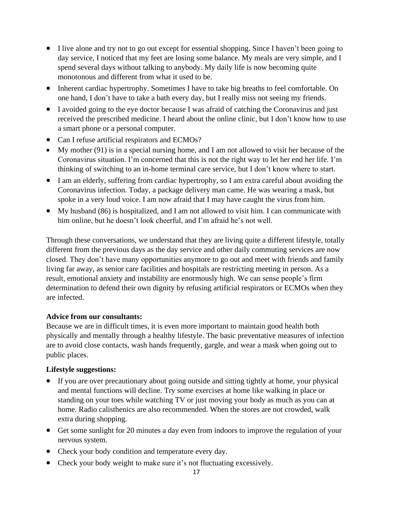- I live alone and try not to go out except for essential shopping. Since I haven't been going to day service, I noticed that my feet are losing some balance. My meals are very simple, and I spend several days without talking to anybody. My daily life is now becoming quite monotonous and different from what it used to be.
- Inherent cardiac hypertrophy. Sometimes I have to take big breaths to feel comfortable. On one hand, I don't have to take a bath every day, but I really miss not seeing my friends.
- I avoided going to the eye doctor because I was afraid of catching the Coronavirus and just received the prescribed medicine. I heard about the online clinic, but I don't know how to use a smart phone or a personal computer.
- Can I refuse artificial respirators and ECMOs?
- My mother (91) is in a special nursing home, and I am not allowed to visit her because of the Coronavirus situation. I'm concerned that this is not the right way to let her end her life. I'm thinking of switching to an in-home terminal care service, but I don't know where to start.
- I am an elderly, suffering from cardiac hypertrophy, so I am extra careful about avoiding the Coronavirus infection. Today, a package delivery man came. He was wearing a mask, but spoke in a very loud voice. I am now afraid that I may have caught the virus from him.
- My husband (86) is hospitalized, and I am not allowed to visit him. I can communicate with him online, but he doesn't look cheerful, and I'm afraid he's not well.

Through these conversations, we understand that they are living quite a different lifestyle, totally different from the previous days as the day service and other daily commuting services are now closed. They don't have many opportunities anymore to go out and meet with friends and family living far away, as senior care facilities and hospitals are restricting meeting in person. As a result, emotional anxiety and instability are enormously high. We can sense people's firm determination to defend their own dignity by refusing artificial respirators or ECMOs when they are infected.

### **Advice from our consultants:**

Because we are in difficult times, it is even more important to maintain good health both physically and mentally through a healthy lifestyle. The basic preventative measures of infection are to avoid close contacts, wash hands frequently, gargle, and wear a mask when going out to public places.

### **Lifestyle suggestions:**

- If you are over precautionary about going outside and sitting tightly at home, your physical and mental functions will decline. Try some exercises at home like walking in place or standing on your toes while watching TV or just moving your body as much as you can at home. Radio calisthenics are also recommended. When the stores are not crowded, walk extra during shopping.
- Get some sunlight for 20 minutes a day even from indoors to improve the regulation of your nervous system.
- Check your body condition and temperature every day.
- Check your body weight to make sure it's not fluctuating excessively.